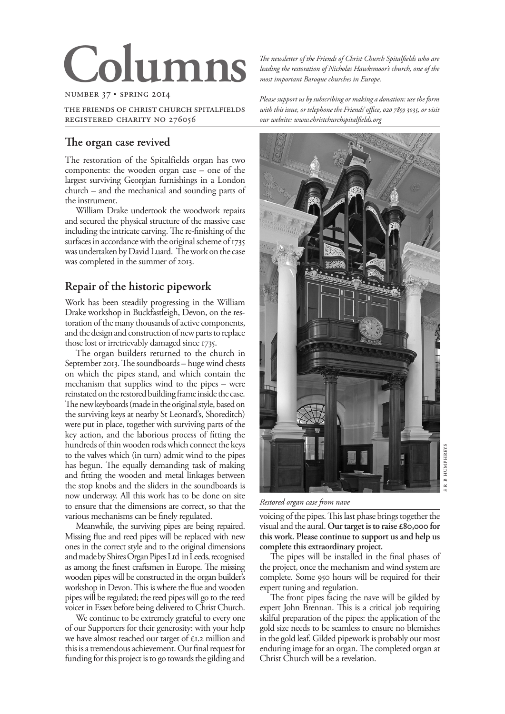# $Co<sub>1</sub>$

#### NUMBER 37 · SPRING 2014

THE FRIENDS OF CHRIST CHURCH SPITALFIELDS REGISTERED CHARITY NO 276056

### The organ case revived

The restoration of the Spitalfields organ has two components: the wooden organ case – one of the largest surviving Georgian furnishings in a London church – and the mechanical and sounding parts of the instrument.

William Drake undertook the woodwork repairs and secured the physical structure of the massive case including the intricate carving. The re-finishing of the surfaces in accordance with the original scheme of 1735 was undertaken by David Luard. The work on the case was completed in the summer of 2013.

## **Repair of the historic pipework**

Work has been steadily progressing in the William Drake workshop in Buckfastleigh, Devon, on the restoration of the many thousands of active components, and the design and construction of new parts to replace those lost or irretrievably damaged since 1735.

The organ builders returned to the church in September 2013. The soundboards  $-$  huge wind chests on which the pipes stand, and which contain the mechanism that supplies wind to the pipes – were reinstated on the restored building frame inside the case. The new keyboards (made in the original style, based on the surviving keys at nearby St Leonard's, Shoreditch) were put in place, together with surviving parts of the key action, and the laborious process of fitting the hundreds of thin wooden rods which connect the keys to the valves which (in turn) admit wind to the pipes has begun. The equally demanding task of making and fitting the wooden and metal linkages between the stop knobs and the sliders in the soundboards is now underway. All this work has to be done on site to ensure that the dimensions are correct, so that the various mechanisms can be finely regulated.

Meanwhile, the surviving pipes are being repaired. Missing flue and reed pipes will be replaced with new ones in the correct style and to the original dimensions and made by Shires Organ Pipes Ltd in Leeds, recognised as among the finest craftsmen in Europe. The missing wooden pipes will be constructed in the organ builder's workshop in Devon. This is where the flue and wooden pipes will be regulated; the reed pipes will go to the reed voicer in Essex before being delivered to Christ Church.

We continue to be extremely grateful to every one of our Supporters for their generosity: with your help we have almost reached our target of  $\epsilon$ 1.2 million and this is a tremendous achievement. Our final request for funding for this project is to go towards the gilding and

The newsletter of the Friends of Christ Church Spitalfields who are *leading the restoration of Nicholas Hawksmoor's church, one of the most important Baroque churches in Europe.*

*Please support us by subscribing or making a donation: use the form*  with this issue, or telephone the Friends' office, 020 7859 3035, or visit *our website: www.christchurchspitalfields.org*



S R B HUMPHRFYS R B HUMPHREYS v

*Restored organ case from nave*

voicing of the pipes. This last phase brings together the visual and the aural. Our target is to raise £80,000 for **this work. Please continue to support us and help us complete this extraordinary project.**

The pipes will be installed in the final phases of the project, once the mechanism and wind system are complete. Some 950 hours will be required for their expert tuning and regulation.

The front pipes facing the nave will be gilded by expert John Brennan. This is a critical job requiring skilful preparation of the pipes: the application of the gold size needs to be seamless to ensure no blemishes in the gold leaf. Gilded pipework is probably our most enduring image for an organ. The completed organ at Christ Church will be a revelation.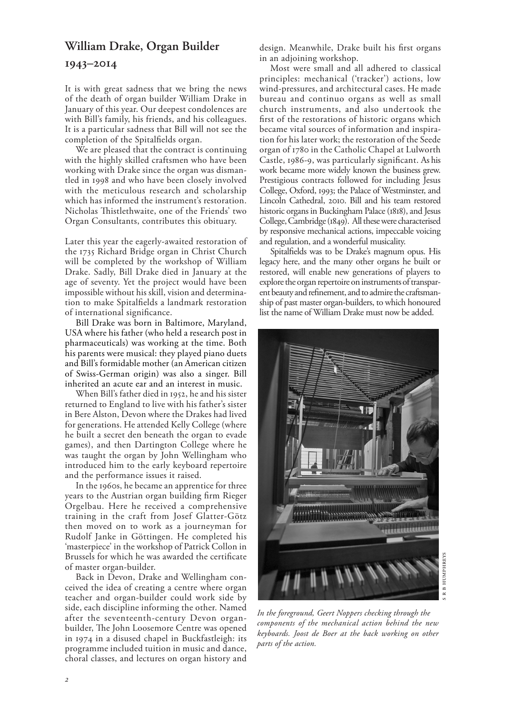# **William Drake, Organ Builder –**

It is with great sadness that we bring the news of the death of organ builder William Drake in January of this year. Our deepest condolences are with Bill's family, his friends, and his colleagues. It is a particular sadness that Bill will not see the completion of the Spitalfields organ.

We are pleased that the contract is continuing with the highly skilled craftsmen who have been working with Drake since the organ was dismantled in 1998 and who have been closely involved with the meticulous research and scholarship which has informed the instrument's restoration. Nicholas Thistlethwaite, one of the Friends' two Organ Consultants, contributes this obituary.

Later this year the eagerly-awaited restoration of the 1735 Richard Bridge organ in Christ Church will be completed by the workshop of William Drake. Sadly, Bill Drake died in January at the age of seventy. Yet the project would have been impossible without his skill, vision and determination to make Spitalfields a landmark restoration of international significance.

Bill Drake was born in Baltimore, Maryland, USA where his father (who held a research post in pharmaceuticals) was working at the time. Both his parents were musical: they played piano duets and Bill's formidable mother (an American citizen of Swiss-German origin) was also a singer. Bill inherited an acute ear and an interest in music.

When Bill's father died in 1952, he and his sister returned to England to live with his father's sister in Bere Alston, Devon where the Drakes had lived for generations. He attended Kelly College (where he built a secret den beneath the organ to evade games), and then Dartington College where he was taught the organ by John Wellingham who introduced him to the early keyboard repertoire and the performance issues it raised.

In the 1960s, he became an apprentice for three years to the Austrian organ building firm Rieger Orgelbau. Here he received a comprehensive training in the craft from Josef Glatter-Götz then moved on to work as a journeyman for Rudolf Janke in Göttingen. He completed his 'masterpiece' in the workshop of Patrick Collon in Brussels for which he was awarded the certificate of master organ-builder.

Back in Devon, Drake and Wellingham conceived the idea of creating a centre where organ teacher and organ-builder could work side by side, each discipline informing the other. Named after the seventeenth-century Devon organbuilder, The John Loosemore Centre was opened in 1974 in a disused chapel in Buckfastleigh: its programme included tuition in music and dance, choral classes, and lectures on organ history and

design. Meanwhile, Drake built his first organs in an adjoining workshop.

Most were small and all adhered to classical principles: mechanical ('tracker') actions, low wind-pressures, and architectural cases. He made bureau and continuo organs as well as small church instruments, and also undertook the first of the restorations of historic organs which became vital sources of information and inspiration for his later work; the restoration of the Seede organ of 1780 in the Catholic Chapel at Lulworth Castle, 1986-9, was particularly significant. As his work became more widely known the business grew. Prestigious contracts followed for including Jesus College, Oxford, 1993; the Palace of Westminster, and Lincoln Cathedral, 2010. Bill and his team restored historic organs in Buckingham Palace (1818), and Jesus College, Cambridge (1849). All these were characterised by responsive mechanical actions, impeccable voicing and regulation, and a wonderful musicality.

Spitalfields was to be Drake's magnum opus. His legacy here, and the many other organs he built or restored, will enable new generations of players to explore the organ repertoire on instruments of transparent beauty and refinement, and to admire the craftsmanship of past master organ-builders, to which honoured list the name of William Drake must now be added.



*In the foreground, Geert Noppers checking through the components of the mechanical action behind the new keyboards. Joost de Boer at the back working on other parts of the action.*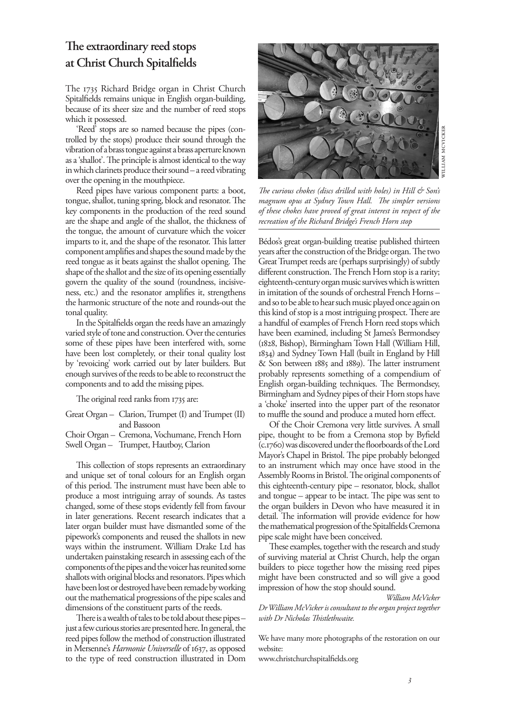## The extraordinary reed stops **at Christ Church Spitalfields**

The 1735 Richard Bridge organ in Christ Church Spitalfields remains unique in English organ-building, because of its sheer size and the number of reed stops which it possessed.

'Reed' stops are so named because the pipes (controlled by the stops) produce their sound through the vibration of a brass tongue against a brass aperture known as a 'shallot'. The principle is almost identical to the way in which clarinets produce their sound – a reed vibrating over the opening in the mouthpiece.

Reed pipes have various component parts: a boot, tongue, shallot, tuning spring, block and resonator. The key components in the production of the reed sound are the shape and angle of the shallot, the thickness of the tongue, the amount of curvature which the voicer imparts to it, and the shape of the resonator. This latter component amplifies and shapes the sound made by the reed tongue as it beats against the shallot opening. The shape of the shallot and the size of its opening essentially govern the quality of the sound (roundness, incisiveness, etc.) and the resonator amplifies it, strengthens the harmonic structure of the note and rounds-out the tonal quality.

In the Spitalfields organ the reeds have an amazingly varied style of tone and construction. Over the centuries some of these pipes have been interfered with, some have been lost completely, or their tonal quality lost by 'revoicing' work carried out by later builders. But enough survives of the reeds to be able to reconstruct the components and to add the missing pipes.

The original reed ranks from 1735 are:

| Great Organ – Clarion, Trumpet (I) and Trumpet (II) |  |
|-----------------------------------------------------|--|
| and Bassoon                                         |  |
| Choir Organ - Cremona, Vochumane, French Horn       |  |

Swell Organ – Trumpet, Hautboy, Clarion

This collection of stops represents an extraordinary and unique set of tonal colours for an English organ of this period. The instrument must have been able to produce a most intriguing array of sounds. As tastes changed, some of these stops evidently fell from favour in later generations. Recent research indicates that a later organ builder must have dismantled some of the pipework's components and reused the shallots in new ways within the instrument. William Drake Ltd has undertaken painstaking research in assessing each of the components of the pipes and the voicer has reunited some shallots with original blocks and resonators. Pipes which have been lost or destroyed have been remade by working out the mathematical progressions of the pipe scales and dimensions of the constituent parts of the reeds.

There is a wealth of tales to be told about these pipes – just a few curious stories are presented here. In general, the reed pipes follow the method of construction illustrated in Mersenne's *Harmonie Universelle* of 1637, as opposed to the type of reed construction illustrated in Dom



*!e curious chokes (discs drilled with holes) in Hill & Son's*  magnum opus at Sydney Town Hall. The simpler versions *of these chokes have proved of great interest in respect of the recreation of the Richard Bridge's French Horn stop*

Bédos's great organ-building treatise published thirteen years after the construction of the Bridge organ. The two Great Trumpet reeds are (perhaps surprisingly) of subtly different construction. The French Horn stop is a rarity; eighteenth-century organ music survives which is written in imitation of the sounds of orchestral French Horns – and so to be able to hear such music played once again on this kind of stop is a most intriguing prospect. There are a handful of examples of French Horn reed stops which have been examined, including St James's Bermondsey (1828, Bishop), Birmingham Town Hall (William Hill, ) and Sydney Town Hall (built in England by Hill  $&$  Son between  $1885$  and  $1889$ ). The latter instrument probably represents something of a compendium of English organ-building techniques. The Bermondsey, Birmingham and Sydney pipes of their Horn stops have a 'choke' inserted into the upper part of the resonator to muffle the sound and produce a muted horn effect.

Of the Choir Cremona very little survives. A small pipe, thought to be from a Cremona stop by Byfield (c.1760) was discovered under the floorboards of the Lord Mayor's Chapel in Bristol. The pipe probably belonged to an instrument which may once have stood in the Assembly Rooms in Bristol. The original components of this eighteenth-century pipe – resonator, block, shallot and tongue – appear to be intact. The pipe was sent to the organ builders in Devon who have measured it in detail. The information will provide evidence for how the mathematical progression of the Spitalfields Cremona pipe scale might have been conceived.

These examples, together with the research and study of surviving material at Christ Church, help the organ builders to piece together how the missing reed pipes might have been constructed and so will give a good impression of how the stop should sound.

*William McVicker* 

*Dr William McVicker is consultant to the organ project together*   $with Dr$ *Nicholas Thistlethwaite.* 

We have many more photographs of the restoration on our website:

www.christchurchspitalfields.org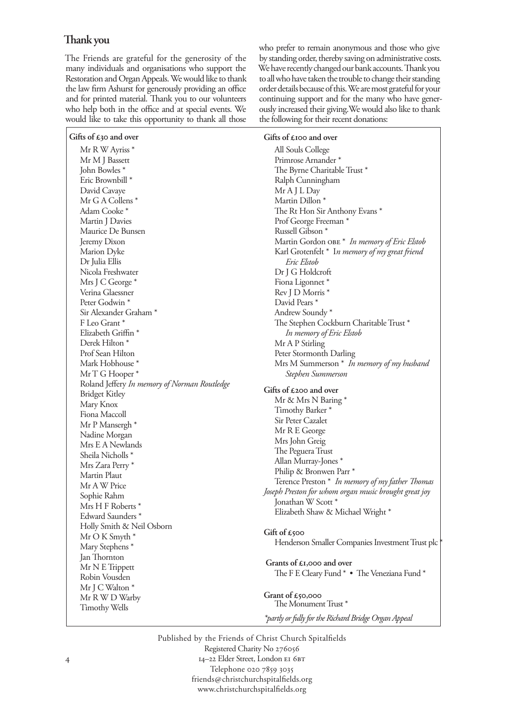## **!ank you**

The Friends are grateful for the generosity of the many individuals and organisations who support the Restoration and Organ Appeals. We would like to thank the law firm Ashurst for generously providing an office and for printed material. Thank you to our volunteers who help both in the office and at special events. We would like to take this opportunity to thank all those who prefer to remain anonymous and those who give by standing order, thereby saving on administrative costs. We have recently changed our bank accounts. Thank you to all who have taken the trouble to change their standing order details because of this. We are most grateful for your continuing support and for the many who have generously increased their giving.We would also like to thank the following for their recent donations:

| Gifts of $\pounds$ 30 and over               | Gifts of $\epsilon$ 100 and over                              |
|----------------------------------------------|---------------------------------------------------------------|
| Mr R W Ayriss *                              | All Souls College                                             |
| Mr M J Bassett                               | Primrose Arnander*                                            |
| John Bowles *                                | The Byrne Charitable Trust*                                   |
| Eric Brownbill <sup>*</sup>                  | Ralph Cunningham                                              |
| David Cavaye                                 | Mr A J L Day                                                  |
| Mr G A Collens *                             | Martin Dillon <sup>*</sup>                                    |
| Adam Cooke*                                  | The Rt Hon Sir Anthony Evans *                                |
| Martin J Davies                              | Prof George Freeman *                                         |
| Maurice De Bunsen                            | Russell Gibson <sup>*</sup>                                   |
| Jeremy Dixon                                 | Martin Gordon OBE * In memory of Eric Elstob                  |
| Marion Dyke                                  | Karl Grotenfelt * In memory of my great friend                |
| Dr Julia Ellis                               | Eric Elstob                                                   |
| Nicola Freshwater                            | Dr J G Holdcroft                                              |
| Mrs J C George*                              | Fiona Ligonnet*                                               |
| Verina Glaessner                             |                                                               |
| Peter Godwin <sup>*</sup>                    | Rev J D Morris *<br>David Pears *                             |
| Sir Alexander Graham <sup>*</sup>            |                                                               |
| F Leo Grant*                                 | Andrew Soundy*                                                |
|                                              | The Stephen Cockburn Charitable Trust *                       |
| Elizabeth Griffin *                          | In memory of Eric Elstob                                      |
| Derek Hilton <sup>*</sup>                    | Mr A P Stirling                                               |
| Prof Sean Hilton                             | Peter Stormonth Darling                                       |
| Mark Hobhouse*                               | Mrs M Summerson * In memory of my husband                     |
| Mr T G Hooper*                               | Stephen Summerson                                             |
| Roland Jeffery In memory of Norman Routledge | Gifts of £200 and over                                        |
| <b>Bridget Kitley</b>                        | Mr & Mrs N Baring *                                           |
| Mary Knox                                    | Timothy Barker <sup>*</sup>                                   |
| Fiona Maccoll                                | Sir Peter Cazalet                                             |
| Mr P Mansergh *                              | Mr R E George                                                 |
| Nadine Morgan                                | Mrs John Greig                                                |
| Mrs E A Newlands                             | The Peguera Trust                                             |
| Sheila Nicholls <sup>*</sup>                 | Allan Murray-Jones *                                          |
| Mrs Zara Perry *                             | Philip & Bronwen Parr <sup>*</sup>                            |
| Martin Plaut                                 | Terence Preston * In memory of my father Thomas               |
| Mr A W Price                                 | Joseph Preston for whom organ music brought great joy         |
| Sophie Rahm                                  | Jonathan W Scott *                                            |
| Mrs H F Roberts *                            | Elizabeth Shaw & Michael Wright *                             |
| Edward Saunders <sup>*</sup>                 |                                                               |
| Holly Smith & Neil Osborn                    | Gift of £500                                                  |
| Mr O K Smyth *                               | Henderson Smaller Companies Investment Trust plc <sup>*</sup> |
| Mary Stephens <sup>*</sup>                   |                                                               |
| Jan Thornton                                 | Grants of £1,000 and over                                     |
| Mr N E Trippett                              |                                                               |
| Robin Vousden                                | The F E Cleary Fund * . The Veneziana Fund *                  |
| Mr J C Walton *                              |                                                               |
| Mr R W D Warby                               | Grant of $£50,000$                                            |
| <b>Timothy Wells</b>                         | The Monument Trust <sup>*</sup>                               |
|                                              | *partly or fully for the Richard Bridge Organ Appeal          |

Published by the Friends of Christ Church Spitalfields Registered Charity No 14-22 Elder Street, London EI 6BT Telephone 020 7859 3035 friends@christchurchspitalfields.org www.christchurchspitalfields.org